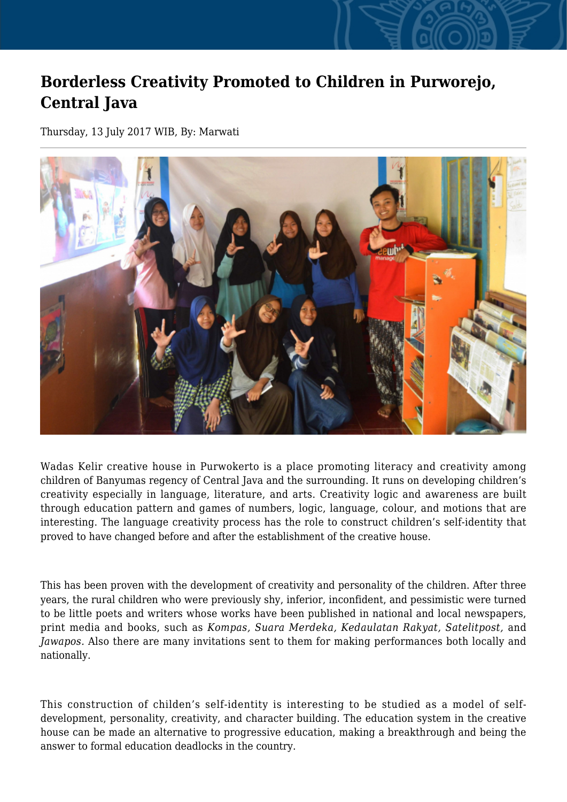## **Borderless Creativity Promoted to Children in Purworejo, Central Java**

Thursday, 13 July 2017 WIB, By: Marwati



Wadas Kelir creative house in Purwokerto is a place promoting literacy and creativity among children of Banyumas regency of Central Java and the surrounding. It runs on developing children's creativity especially in language, literature, and arts. Creativity logic and awareness are built through education pattern and games of numbers, logic, language, colour, and motions that are interesting. The language creativity process has the role to construct children's self-identity that proved to have changed before and after the establishment of the creative house.

This has been proven with the development of creativity and personality of the children. After three years, the rural children who were previously shy, inferior, inconfident, and pessimistic were turned to be little poets and writers whose works have been published in national and local newspapers, print media and books, such as *Kompas, Suara Merdeka, Kedaulatan Rakyat, Satelitpost,* and *Jawapos.* Also there are many invitations sent to them for making performances both locally and nationally.

This construction of childen's self-identity is interesting to be studied as a model of selfdevelopment, personality, creativity, and character building. The education system in the creative house can be made an alternative to progressive education, making a breakthrough and being the answer to formal education deadlocks in the country.